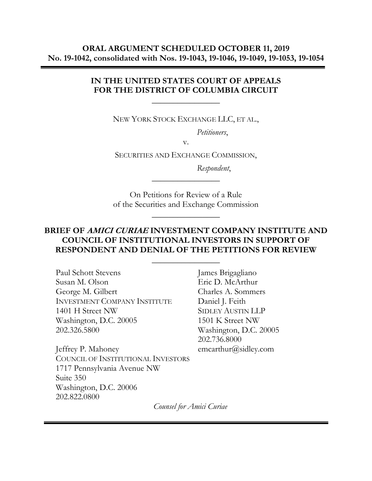### **ORAL ARGUMENT SCHEDULED OCTOBER 11, 2019 No. 19-1042, consolidated with Nos. 19-1043, 19-1046, 19-1049, 19-1053, 19-1054**

### **IN THE UNITED STATES COURT OF APPEALS FOR THE DISTRICT OF COLUMBIA CIRCUIT**

**\_\_\_\_\_\_\_\_\_\_\_\_\_\_\_\_**

NEW YORK STOCK EXCHANGE LLC, ET AL.,

*Petitioners*,

v.

SECURITIES AND EXCHANGE COMMISSION,

 *Respondent*,

On Petitions for Review of a Rule of the Securities and Exchange Commission

**\_\_\_\_\_\_\_\_\_\_\_\_\_\_\_\_**

**\_\_\_\_\_\_\_\_\_\_\_\_\_\_\_\_**

### **BRIEF OF AMICI CURIAE INVESTMENT COMPANY INSTITUTE AND COUNCIL OF INSTITUTIONAL INVESTORS IN SUPPORT OF RESPONDENT AND DENIAL OF THE PETITIONS FOR REVIEW**

**\_\_\_\_\_\_\_\_\_\_\_\_\_\_\_\_**

Paul Schott Stevens Susan M. Olson George M. Gilbert INVESTMENT COMPANY INSTITUTE 1401 H Street NW Washington, D.C. 20005 202.326.5800

Jeffrey P. Mahoney COUNCIL OF INSTITUTIONAL INVESTORS 1717 Pennsylvania Avenue NW Suite 350 Washington, D.C. 20006 202.822.0800

James Brigagliano Eric D. McArthur Charles A. Sommers Daniel J. Feith SIDLEY AUSTIN LLP 1501 K Street NW Washington, D.C. 20005 202.736.8000 emcarthur@sidley.com

*Counsel for Amici Curiae*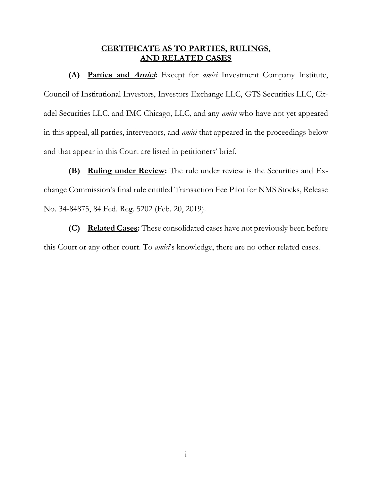#### **CERTIFICATE AS TO PARTIES, RULINGS, AND RELATED CASES**

**(A) Parties and Amici:** Except for *amici* Investment Company Institute, Council of Institutional Investors, Investors Exchange LLC, GTS Securities LLC, Citadel Securities LLC, and IMC Chicago, LLC, and any *amici* who have not yet appeared in this appeal, all parties, intervenors, and *amici* that appeared in the proceedings below and that appear in this Court are listed in petitioners' brief.

**(B) Ruling under Review:** The rule under review is the Securities and Exchange Commission's final rule entitled Transaction Fee Pilot for NMS Stocks, Release No. 34-84875, 84 Fed. Reg. 5202 (Feb. 20, 2019).

**(C) Related Cases:** These consolidated cases have not previously been before this Court or any other court. To *amici*'s knowledge, there are no other related cases.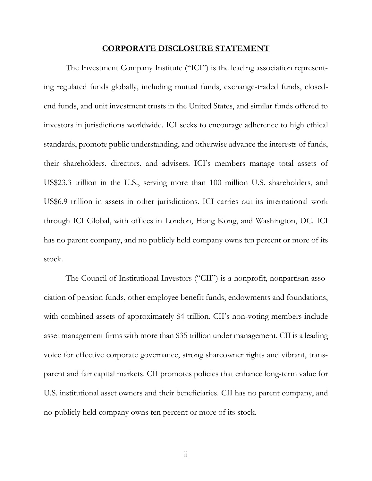#### **CORPORATE DISCLOSURE STATEMENT**

The Investment Company Institute ("ICI") is the leading association representing regulated funds globally, including mutual funds, exchange-traded funds, closedend funds, and unit investment trusts in the United States, and similar funds offered to investors in jurisdictions worldwide. ICI seeks to encourage adherence to high ethical standards, promote public understanding, and otherwise advance the interests of funds, their shareholders, directors, and advisers. ICI's members manage total assets of US\$23.3 trillion in the U.S., serving more than 100 million U.S. shareholders, and US\$6.9 trillion in assets in other jurisdictions. ICI carries out its international work through ICI Global, with offices in London, Hong Kong, and Washington, DC. ICI has no parent company, and no publicly held company owns ten percent or more of its stock.

The Council of Institutional Investors ("CII") is a nonprofit, nonpartisan association of pension funds, other employee benefit funds, endowments and foundations, with combined assets of approximately \$4 trillion. CII's non-voting members include asset management firms with more than \$35 trillion under management. CII is a leading voice for effective corporate governance, strong shareowner rights and vibrant, transparent and fair capital markets. CII promotes policies that enhance long-term value for U.S. institutional asset owners and their beneficiaries. CII has no parent company, and no publicly held company owns ten percent or more of its stock.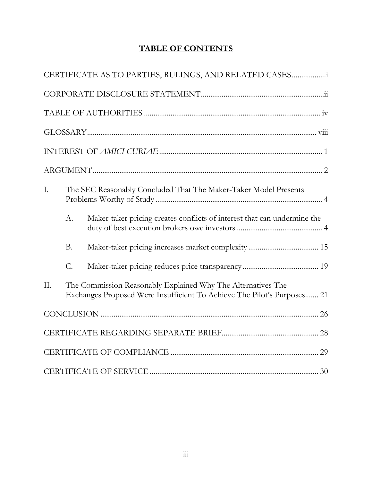## **TABLE OF CONTENTS**

|     |                                                                                                                                         | CERTIFICATE AS TO PARTIES, RULINGS, AND RELATED CASES                    |  |
|-----|-----------------------------------------------------------------------------------------------------------------------------------------|--------------------------------------------------------------------------|--|
|     |                                                                                                                                         |                                                                          |  |
|     |                                                                                                                                         |                                                                          |  |
|     |                                                                                                                                         |                                                                          |  |
|     |                                                                                                                                         |                                                                          |  |
|     |                                                                                                                                         |                                                                          |  |
| Ι.  |                                                                                                                                         | The SEC Reasonably Concluded That The Maker-Taker Model Presents         |  |
|     | A.                                                                                                                                      | Maker-taker pricing creates conflicts of interest that can undermine the |  |
|     | <b>B.</b>                                                                                                                               |                                                                          |  |
|     | $\mathcal{C}$ .                                                                                                                         |                                                                          |  |
| II. | The Commission Reasonably Explained Why The Alternatives The<br>Exchanges Proposed Were Insufficient To Achieve The Pilot's Purposes 21 |                                                                          |  |
|     |                                                                                                                                         |                                                                          |  |
|     |                                                                                                                                         |                                                                          |  |
|     |                                                                                                                                         |                                                                          |  |
|     |                                                                                                                                         |                                                                          |  |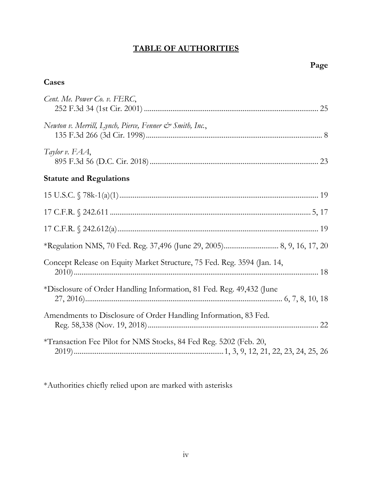# **TABLE OF AUTHORITIES**

## **Cases**

| Cent. Me. Power Co. v. FERC,                                            |
|-------------------------------------------------------------------------|
| Newton v. Merrill, Lynch, Pierce, Fenner & Smith, Inc.,                 |
| Taylor v. FAA,                                                          |
| <b>Statute and Regulations</b>                                          |
|                                                                         |
|                                                                         |
|                                                                         |
|                                                                         |
| Concept Release on Equity Market Structure, 75 Fed. Reg. 3594 (Jan. 14, |
| *Disclosure of Order Handling Information, 81 Fed. Reg. 49,432 (June    |
| Amendments to Disclosure of Order Handling Information, 83 Fed.         |
| *Transaction Fee Pilot for NMS Stocks, 84 Fed Reg. 5202 (Feb. 20,       |

\*Authorities chiefly relied upon are marked with asterisks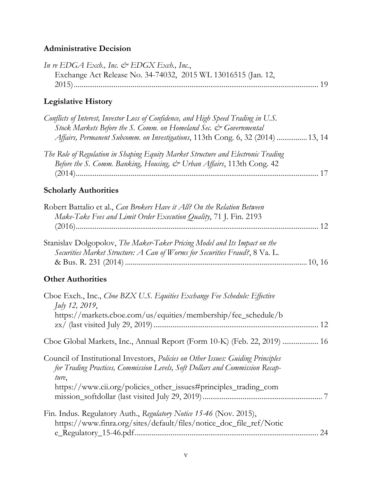## **Administrative Decision**

| In re EDGA Exch., Inc. $\mathcal O$ EDGX Exch., Inc.,<br>Exchange Act Release No. 34-74032, 2015 WL 13016515 (Jan. 12,                                                                                                                        |  |
|-----------------------------------------------------------------------------------------------------------------------------------------------------------------------------------------------------------------------------------------------|--|
| <b>Legislative History</b>                                                                                                                                                                                                                    |  |
| Conflicts of Interest, Investor Loss of Confidence, and High Speed Trading in U.S.<br>Stock Markets Before the S. Comm. on Homeland Sec. & Governmental<br>Affairs, Permanent Subcomm. on Investigations, 113th Cong. 6, 32 (2014)  13, 14    |  |
| The Role of Regulation in Shaping Equity Market Structure and Electronic Trading<br>Before the S. Comm. Banking, Housing, & Urban Affairs, 113th Cong. 42                                                                                     |  |
| <b>Scholarly Authorities</b>                                                                                                                                                                                                                  |  |
| Robert Battalio et al., Can Brokers Have it All? On the Relation Between<br>Make-Take Fees and Limit Order Execution Quality, 71 J. Fin. 2193                                                                                                 |  |
| Stanislav Dolgopolov, The Maker-Taker Pricing Model and Its Impact on the<br>Securities Market Structure: A Can of Worms for Securities Fraud?, 8 Va. L.                                                                                      |  |
| <b>Other Authorities</b>                                                                                                                                                                                                                      |  |
| Cboe Exch., Inc., Choe BZX U.S. Equities Exchange Fee Schedule: Effective<br><i>July 12, 2019</i> ,<br>https://markets.cboe.com/us/equities/membership/fee_schedule/b                                                                         |  |
| Cboe Global Markets, Inc., Annual Report (Form 10-K) (Feb. 22, 2019)  16                                                                                                                                                                      |  |
| Council of Institutional Investors, Policies on Other Issues: Guiding Principles<br>for Trading Practices, Commission Levels, Soft Dollars and Commission Recap-<br>ture,<br>https://www.cii.org/policies_other_issues#principles_trading_com |  |
|                                                                                                                                                                                                                                               |  |
| Fin. Indus. Regulatory Auth., Regulatory Notice 15-46 (Nov. 2015),<br>https://www.finra.org/sites/default/files/notice_doc_file_ref/Notic                                                                                                     |  |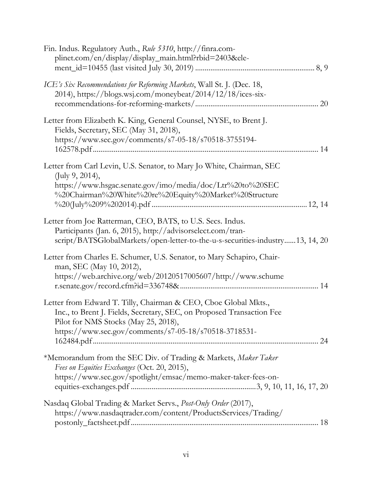| Fin. Indus. Regulatory Auth., Rule 5310, http://finra.com-<br>plinet.com/en/display/display_main.html?rbid=2403&ele-                                                                                                                      |  |
|-------------------------------------------------------------------------------------------------------------------------------------------------------------------------------------------------------------------------------------------|--|
| ICE's Six Recommendations for Reforming Markets, Wall St. J. (Dec. 18,<br>2014), https://blogs.wsj.com/moneybeat/2014/12/18/ices-six-                                                                                                     |  |
| Letter from Elizabeth K. King, General Counsel, NYSE, to Brent J.<br>Fields, Secretary, SEC (May 31, 2018),<br>https://www.sec.gov/comments/s7-05-18/s70518-3755194-                                                                      |  |
| Letter from Carl Levin, U.S. Senator, to Mary Jo White, Chairman, SEC<br>(July 9, 2014),<br>https://www.hsgac.senate.gov/imo/media/doc/Ltr%20to%20SEC<br>%20Chairman%20White%20re%20Equity%20Market%20Structure                           |  |
| Letter from Joe Ratterman, CEO, BATS, to U.S. Secs. Indus.<br>Participants (Jan. 6, 2015), http://advisorselect.com/tran-<br>script/BATSGlobalMarkets/open-letter-to-the-u-s-securities-industry13, 14, 20                                |  |
| Letter from Charles E. Schumer, U.S. Senator, to Mary Schapiro, Chair-<br>man, SEC (May 10, 2012),<br>https://web.archive.org/web/20120517005607/http://www.schume                                                                        |  |
| Letter from Edward T. Tilly, Chairman & CEO, Cboe Global Mkts.,<br>Inc., to Brent J. Fields, Secretary, SEC, on Proposed Transaction Fee<br>Pilot for NMS Stocks (May 25, 2018),<br>https://www.sec.gov/comments/s7-05-18/s70518-3718531- |  |
| *Memorandum from the SEC Div. of Trading & Markets, Maker Taker<br>Fees on Equities Exchanges (Oct. 20, 2015),<br>https://www.sec.gov/spotlight/emsac/memo-maker-taker-fees-on-                                                           |  |
| Nasdaq Global Trading & Market Servs., Post-Only Order (2017),<br>https://www.nasdaqtrader.com/content/ProductsServices/Trading/                                                                                                          |  |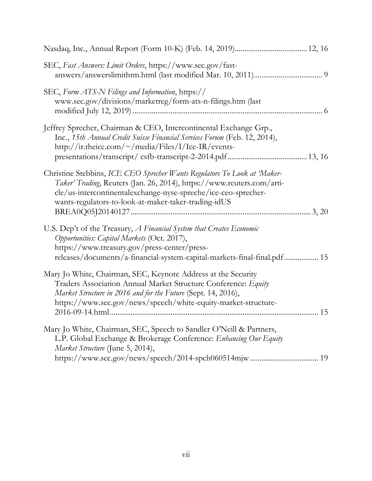| SEC, Fast Answers: Limit Orders, https://www.sec.gov/fast-                                                                                                                                                                                                                  |  |
|-----------------------------------------------------------------------------------------------------------------------------------------------------------------------------------------------------------------------------------------------------------------------------|--|
| SEC, Form ATS-N Filings and Information, https://<br>www.sec.gov/divisions/marketreg/form-ats-n-filings.htm (last                                                                                                                                                           |  |
| Jeffrey Sprecher, Chairman & CEO, Intercontinental Exchange Grp.,<br>Inc., 15th Annual Credit Suisse Financial Services Forum (Feb. 12, 2014),<br>http://ir.theice.com/~/media/Files/I/Ice-IR/events-                                                                       |  |
| Christine Stebbins, ICE CEO Sprecher Wants Regulators To Look at Maker-<br>Taker' Trading, Reuters (Jan. 26, 2014), https://www.reuters.com/arti-<br>cle/us-intercontinentalexchange-nyse-spreche/ice-ceo-sprecher-<br>wants-regulators-to-look-at-maker-taker-trading-idUS |  |
| U.S. Dep't of the Treasury, A Financial System that Creates Economic<br>Opportunities: Capital Markets (Oct. 2017),<br>https://www.treasury.gov/press-center/press-<br>releases/documents/a-financial-system-capital-markets-final-final.pdf 15                             |  |
| Mary Jo White, Chairman, SEC, Keynote Address at the Security<br>Traders Association Annual Market Structure Conference: Equity<br>Market Structure in 2016 and for the Future (Sept. 14, 2016),<br>https://www.sec.gov/news/speech/white-equity-market-structure-          |  |
| Mary Jo White, Chairman, SEC, Speech to Sandler O'Neill & Partners,<br>L.P. Global Exchange & Brokerage Conference: Enhancing Our Equity<br>Market Structure (June 5, 2014),                                                                                                |  |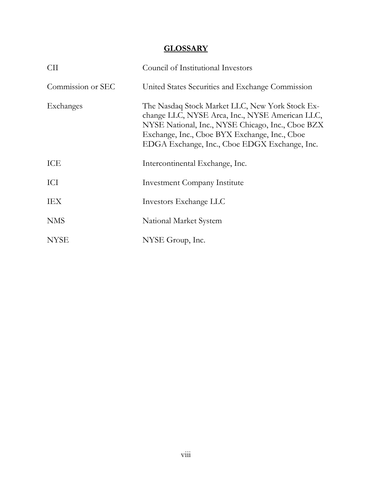## **GLOSSARY**

| <b>CII</b>        | Council of Institutional Investors                                                                                                                                                                                                                        |
|-------------------|-----------------------------------------------------------------------------------------------------------------------------------------------------------------------------------------------------------------------------------------------------------|
| Commission or SEC | United States Securities and Exchange Commission                                                                                                                                                                                                          |
| Exchanges         | The Nasdaq Stock Market LLC, New York Stock Ex-<br>change LLC, NYSE Arca, Inc., NYSE American LLC,<br>NYSE National, Inc., NYSE Chicago, Inc., Cboe BZX<br>Exchange, Inc., Cboe BYX Exchange, Inc., Cboe<br>EDGA Exchange, Inc., Cboe EDGX Exchange, Inc. |
| ICE               | Intercontinental Exchange, Inc.                                                                                                                                                                                                                           |
| ICI               | <b>Investment Company Institute</b>                                                                                                                                                                                                                       |
| IEX               | Investors Exchange LLC                                                                                                                                                                                                                                    |
| <b>NMS</b>        | National Market System                                                                                                                                                                                                                                    |
| <b>NYSE</b>       | NYSE Group, Inc.                                                                                                                                                                                                                                          |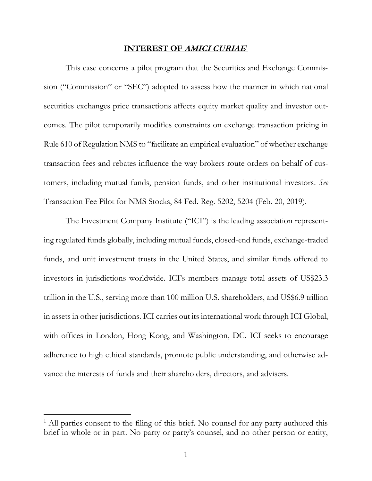#### **INTEREST OF AMICI CURIAE**<sup>1</sup>

This case concerns a pilot program that the Securities and Exchange Commission ("Commission" or "SEC") adopted to assess how the manner in which national securities exchanges price transactions affects equity market quality and investor outcomes. The pilot temporarily modifies constraints on exchange transaction pricing in Rule 610 of Regulation NMS to "facilitate an empirical evaluation" of whether exchange transaction fees and rebates influence the way brokers route orders on behalf of customers, including mutual funds, pension funds, and other institutional investors. *See*  Transaction Fee Pilot for NMS Stocks, 84 Fed. Reg. 5202, 5204 (Feb. 20, 2019).

The Investment Company Institute ("ICI") is the leading association representing regulated funds globally, including mutual funds, closed-end funds, exchange-traded funds, and unit investment trusts in the United States, and similar funds offered to investors in jurisdictions worldwide. ICI's members manage total assets of US\$23.3 trillion in the U.S., serving more than 100 million U.S. shareholders, and US\$6.9 trillion in assets in other jurisdictions. ICI carries out its international work through ICI Global, with offices in London, Hong Kong, and Washington, DC. ICI seeks to encourage adherence to high ethical standards, promote public understanding, and otherwise advance the interests of funds and their shareholders, directors, and advisers.

<sup>&</sup>lt;sup>1</sup> All parties consent to the filing of this brief. No counsel for any party authored this brief in whole or in part. No party or party's counsel, and no other person or entity,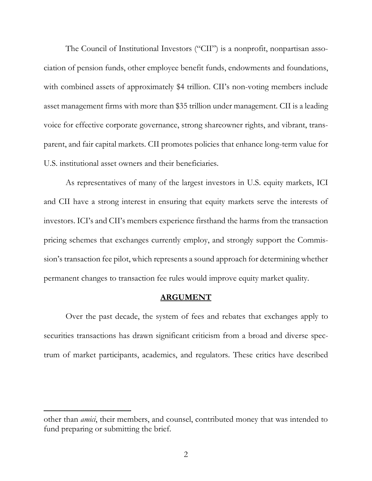The Council of Institutional Investors ("CII") is a nonprofit, nonpartisan association of pension funds, other employee benefit funds, endowments and foundations, with combined assets of approximately \$4 trillion. CII's non-voting members include asset management firms with more than \$35 trillion under management. CII is a leading voice for effective corporate governance, strong shareowner rights, and vibrant, transparent, and fair capital markets. CII promotes policies that enhance long-term value for U.S. institutional asset owners and their beneficiaries.

As representatives of many of the largest investors in U.S. equity markets, ICI and CII have a strong interest in ensuring that equity markets serve the interests of investors. ICI's and CII's members experience firsthand the harms from the transaction pricing schemes that exchanges currently employ, and strongly support the Commission's transaction fee pilot, which represents a sound approach for determining whether permanent changes to transaction fee rules would improve equity market quality.

#### **ARGUMENT**

Over the past decade, the system of fees and rebates that exchanges apply to securities transactions has drawn significant criticism from a broad and diverse spectrum of market participants, academics, and regulators. These critics have described

other than *amici*, their members, and counsel, contributed money that was intended to fund preparing or submitting the brief.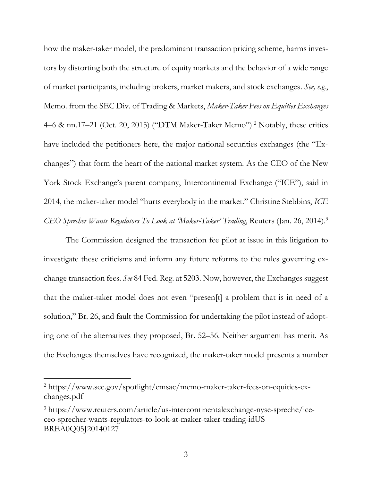how the maker-taker model, the predominant transaction pricing scheme, harms investors by distorting both the structure of equity markets and the behavior of a wide range of market participants, including brokers, market makers, and stock exchanges. *See, e.g.*, Memo. from the SEC Div. of Trading & Markets, *Maker-Taker Fees on Equities Exchanges* 4–6 & nn.17–21 (Oct. 20, 2015) ("DTM Maker-Taker Memo"). <sup>2</sup> Notably, these critics have included the petitioners here, the major national securities exchanges (the "Exchanges") that form the heart of the national market system. As the CEO of the New York Stock Exchange's parent company, Intercontinental Exchange ("ICE"), said in 2014, the maker-taker model "hurts everybody in the market." Christine Stebbins, *ICE CEO Sprecher Wants Regulators To Look at 'Maker-Taker' Trading*, Reuters (Jan. 26, 2014). 3

The Commission designed the transaction fee pilot at issue in this litigation to investigate these criticisms and inform any future reforms to the rules governing exchange transaction fees. *See* 84 Fed. Reg. at 5203. Now, however, the Exchanges suggest that the maker-taker model does not even "presen[t] a problem that is in need of a solution," Br. 26, and fault the Commission for undertaking the pilot instead of adopting one of the alternatives they proposed, Br. 52–56. Neither argument has merit. As the Exchanges themselves have recognized, the maker-taker model presents a number

 $\overline{a}$ 

<sup>2</sup> https://www.sec.gov/spotlight/emsac/memo-maker-taker-fees-on-equities-exchanges.pdf

<sup>3</sup> https://www.reuters.com/article/us-intercontinentalexchange-nyse-spreche/iceceo-sprecher-wants-regulators-to-look-at-maker-taker-trading-idUS BREA0Q05J20140127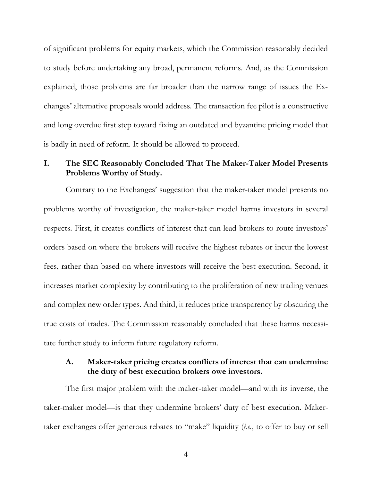of significant problems for equity markets, which the Commission reasonably decided to study before undertaking any broad, permanent reforms. And, as the Commission explained, those problems are far broader than the narrow range of issues the Exchanges' alternative proposals would address. The transaction fee pilot is a constructive and long overdue first step toward fixing an outdated and byzantine pricing model that is badly in need of reform. It should be allowed to proceed.

### **I. The SEC Reasonably Concluded That The Maker-Taker Model Presents Problems Worthy of Study.**

Contrary to the Exchanges' suggestion that the maker-taker model presents no problems worthy of investigation, the maker-taker model harms investors in several respects. First, it creates conflicts of interest that can lead brokers to route investors' orders based on where the brokers will receive the highest rebates or incur the lowest fees, rather than based on where investors will receive the best execution. Second, it increases market complexity by contributing to the proliferation of new trading venues and complex new order types. And third, it reduces price transparency by obscuring the true costs of trades. The Commission reasonably concluded that these harms necessitate further study to inform future regulatory reform.

### **A. Maker-taker pricing creates conflicts of interest that can undermine the duty of best execution brokers owe investors.**

The first major problem with the maker-taker model—and with its inverse, the taker-maker model—is that they undermine brokers' duty of best execution. Makertaker exchanges offer generous rebates to "make" liquidity (*i.e.*, to offer to buy or sell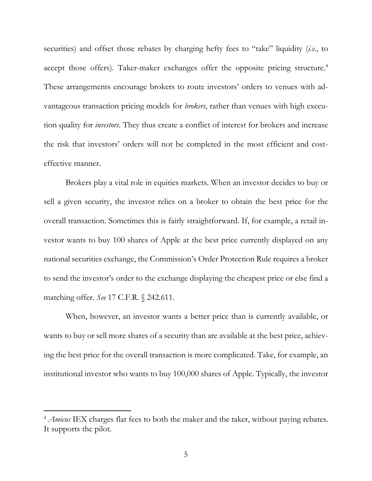securities) and offset those rebates by charging hefty fees to "take" liquidity (*i.e.*, to accept those offers). Taker-maker exchanges offer the opposite pricing structure. 4 These arrangements encourage brokers to route investors' orders to venues with advantageous transaction pricing models for *brokers*, rather than venues with high execution quality for *investors*. They thus create a conflict of interest for brokers and increase the risk that investors' orders will not be completed in the most efficient and costeffective manner.

Brokers play a vital role in equities markets. When an investor decides to buy or sell a given security, the investor relies on a broker to obtain the best price for the overall transaction. Sometimes this is fairly straightforward. If, for example, a retail investor wants to buy 100 shares of Apple at the best price currently displayed on any national securities exchange, the Commission's Order Protection Rule requires a broker to send the investor's order to the exchange displaying the cheapest price or else find a matching offer. *See* 17 C.F.R. § 242.611.

When, however, an investor wants a better price than is currently available, or wants to buy or sell more shares of a security than are available at the best price, achieving the best price for the overall transaction is more complicated. Take, for example, an institutional investor who wants to buy 100,000 shares of Apple. Typically, the investor

<sup>&</sup>lt;sup>4</sup> *Amicus* IEX charges flat fees to both the maker and the taker, without paying rebates. It supports the pilot.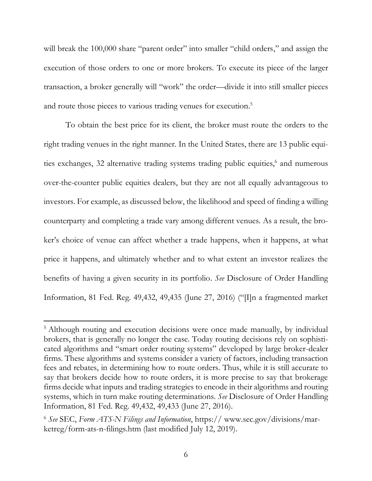will break the 100,000 share "parent order" into smaller "child orders," and assign the execution of those orders to one or more brokers. To execute its piece of the larger transaction, a broker generally will "work" the order—divide it into still smaller pieces and route those pieces to various trading venues for execution.<sup>5</sup>

To obtain the best price for its client, the broker must route the orders to the right trading venues in the right manner. In the United States, there are 13 public equities exchanges, 32 alternative trading systems trading public equities, 6 and numerous over-the-counter public equities dealers, but they are not all equally advantageous to investors. For example, as discussed below, the likelihood and speed of finding a willing counterparty and completing a trade vary among different venues. As a result, the broker's choice of venue can affect whether a trade happens, when it happens, at what price it happens, and ultimately whether and to what extent an investor realizes the benefits of having a given security in its portfolio. *See* Disclosure of Order Handling Information, 81 Fed. Reg. 49,432, 49,435 (June 27, 2016) ("[I]n a fragmented market

<sup>&</sup>lt;sup>5</sup> Although routing and execution decisions were once made manually, by individual brokers, that is generally no longer the case. Today routing decisions rely on sophisticated algorithms and "smart order routing systems" developed by large broker-dealer firms. These algorithms and systems consider a variety of factors, including transaction fees and rebates, in determining how to route orders. Thus, while it is still accurate to say that brokers decide how to route orders, it is more precise to say that brokerage firms decide what inputs and trading strategies to encode in their algorithms and routing systems, which in turn make routing determinations. *See* Disclosure of Order Handling Information, 81 Fed. Reg. 49,432, 49,433 (June 27, 2016).

<sup>6</sup> *See* SEC, *Form ATS-N Filings and Information*, https:// www.sec.gov/divisions/marketreg/form-ats-n-filings.htm (last modified July 12, 2019).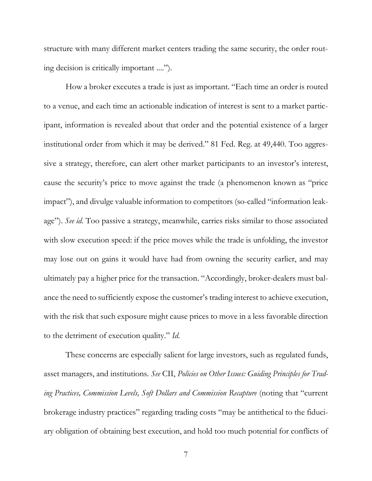structure with many different market centers trading the same security, the order routing decision is critically important ....").

How a broker executes a trade is just as important. "Each time an order is routed to a venue, and each time an actionable indication of interest is sent to a market participant, information is revealed about that order and the potential existence of a larger institutional order from which it may be derived." 81 Fed. Reg. at 49,440. Too aggressive a strategy, therefore, can alert other market participants to an investor's interest, cause the security's price to move against the trade (a phenomenon known as "price impact"), and divulge valuable information to competitors (so-called "information leakage"). *See id.* Too passive a strategy, meanwhile, carries risks similar to those associated with slow execution speed: if the price moves while the trade is unfolding, the investor may lose out on gains it would have had from owning the security earlier, and may ultimately pay a higher price for the transaction. "Accordingly, broker-dealers must balance the need to sufficiently expose the customer's trading interest to achieve execution, with the risk that such exposure might cause prices to move in a less favorable direction to the detriment of execution quality." *Id.*

These concerns are especially salient for large investors, such as regulated funds, asset managers, and institutions. *See* CII, *Policies on Other Issues: Guiding Principles for Trading Practices, Commission Levels, Soft Dollars and Commission Recapture* (noting that "current brokerage industry practices" regarding trading costs "may be antithetical to the fiduciary obligation of obtaining best execution, and hold too much potential for conflicts of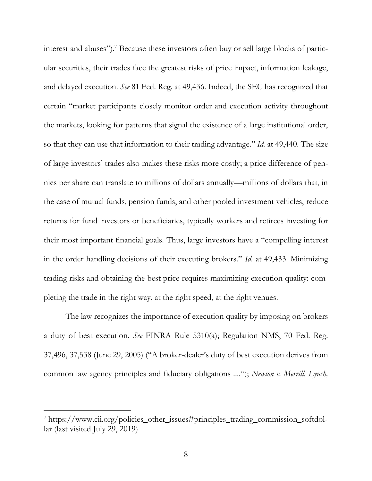interest and abuses").<sup>7</sup> Because these investors often buy or sell large blocks of particular securities, their trades face the greatest risks of price impact, information leakage, and delayed execution. *See* 81 Fed. Reg. at 49,436. Indeed, the SEC has recognized that certain "market participants closely monitor order and execution activity throughout the markets, looking for patterns that signal the existence of a large institutional order, so that they can use that information to their trading advantage." *Id.* at 49,440. The size of large investors' trades also makes these risks more costly; a price difference of pennies per share can translate to millions of dollars annually—millions of dollars that, in the case of mutual funds, pension funds, and other pooled investment vehicles, reduce returns for fund investors or beneficiaries, typically workers and retirees investing for their most important financial goals. Thus, large investors have a "compelling interest in the order handling decisions of their executing brokers." *Id.* at 49,433. Minimizing trading risks and obtaining the best price requires maximizing execution quality: completing the trade in the right way, at the right speed, at the right venues.

The law recognizes the importance of execution quality by imposing on brokers a duty of best execution. *See* FINRA Rule 5310(a); Regulation NMS, 70 Fed. Reg. 37,496, 37,538 (June 29, 2005) ("A broker-dealer's duty of best execution derives from common law agency principles and fiduciary obligations ...."); *Newton v. Merrill, Lynch,* 

<sup>7</sup> https://www.cii.org/policies\_other\_issues#principles\_trading\_commission\_softdollar (last visited July 29, 2019)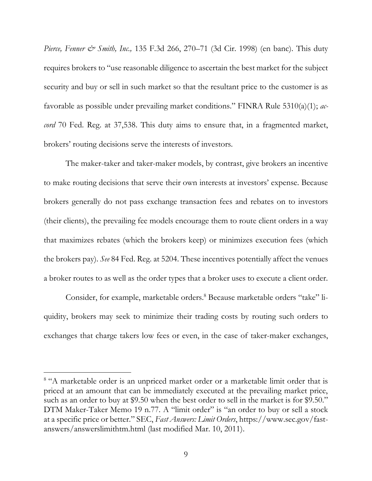*Pierce, Fenner & Smith, Inc.,* 135 F.3d 266, 270–71 (3d Cir. 1998) (en banc). This duty requires brokers to "use reasonable diligence to ascertain the best market for the subject security and buy or sell in such market so that the resultant price to the customer is as favorable as possible under prevailing market conditions." FINRA Rule 5310(a)(1); *accord* 70 Fed. Reg. at 37,538. This duty aims to ensure that, in a fragmented market, brokers' routing decisions serve the interests of investors.

The maker-taker and taker-maker models, by contrast, give brokers an incentive to make routing decisions that serve their own interests at investors' expense. Because brokers generally do not pass exchange transaction fees and rebates on to investors (their clients), the prevailing fee models encourage them to route client orders in a way that maximizes rebates (which the brokers keep) or minimizes execution fees (which the brokers pay). *See* 84 Fed. Reg. at 5204. These incentives potentially affect the venues a broker routes to as well as the order types that a broker uses to execute a client order.

Consider, for example, marketable orders.<sup>8</sup> Because marketable orders "take" liquidity, brokers may seek to minimize their trading costs by routing such orders to exchanges that charge takers low fees or even, in the case of taker-maker exchanges,

<sup>&</sup>lt;sup>8</sup> "A marketable order is an unpriced market order or a marketable limit order that is priced at an amount that can be immediately executed at the prevailing market price, such as an order to buy at \$9.50 when the best order to sell in the market is for \$9.50." DTM Maker-Taker Memo 19 n.77. A "limit order" is "an order to buy or sell a stock at a specific price or better." SEC, *Fast Answers: Limit Orders*, https://www.sec.gov/fastanswers/answerslimithtm.html (last modified Mar. 10, 2011).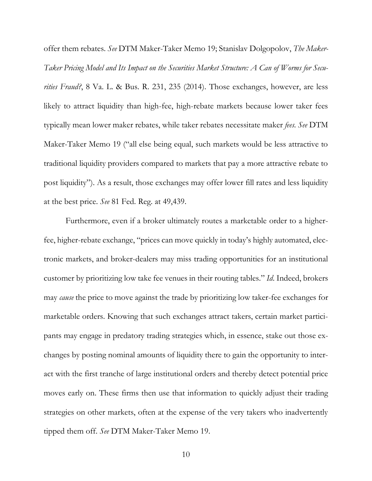offer them rebates. *See* DTM Maker-Taker Memo 19; Stanislav Dolgopolov, *The Maker-Taker Pricing Model and Its Impact on the Securities Market Structure: A Can of Worms for Securities Fraud?*, 8 Va. L. & Bus. R. 231, 235 (2014). Those exchanges, however, are less likely to attract liquidity than high-fee, high-rebate markets because lower taker fees typically mean lower maker rebates, while taker rebates necessitate maker *fees*. *See* DTM Maker-Taker Memo 19 ("all else being equal, such markets would be less attractive to traditional liquidity providers compared to markets that pay a more attractive rebate to post liquidity"). As a result, those exchanges may offer lower fill rates and less liquidity at the best price. *See* 81 Fed. Reg. at 49,439.

Furthermore, even if a broker ultimately routes a marketable order to a higherfee, higher-rebate exchange, "prices can move quickly in today's highly automated, electronic markets, and broker-dealers may miss trading opportunities for an institutional customer by prioritizing low take fee venues in their routing tables." *Id*. Indeed, brokers may *cause* the price to move against the trade by prioritizing low taker-fee exchanges for marketable orders. Knowing that such exchanges attract takers, certain market participants may engage in predatory trading strategies which, in essence, stake out those exchanges by posting nominal amounts of liquidity there to gain the opportunity to interact with the first tranche of large institutional orders and thereby detect potential price moves early on. These firms then use that information to quickly adjust their trading strategies on other markets, often at the expense of the very takers who inadvertently tipped them off. *See* DTM Maker-Taker Memo 19.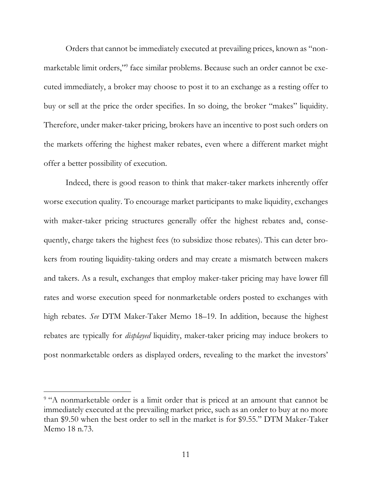Orders that cannot be immediately executed at prevailing prices, known as "nonmarketable limit orders," 9 face similar problems. Because such an order cannot be executed immediately, a broker may choose to post it to an exchange as a resting offer to buy or sell at the price the order specifies. In so doing, the broker "makes" liquidity. Therefore, under maker-taker pricing, brokers have an incentive to post such orders on the markets offering the highest maker rebates, even where a different market might offer a better possibility of execution.

Indeed, there is good reason to think that maker-taker markets inherently offer worse execution quality. To encourage market participants to make liquidity, exchanges with maker-taker pricing structures generally offer the highest rebates and, consequently, charge takers the highest fees (to subsidize those rebates). This can deter brokers from routing liquidity-taking orders and may create a mismatch between makers and takers. As a result, exchanges that employ maker-taker pricing may have lower fill rates and worse execution speed for nonmarketable orders posted to exchanges with high rebates. *See* DTM Maker-Taker Memo 18–19. In addition, because the highest rebates are typically for *displayed* liquidity, maker-taker pricing may induce brokers to post nonmarketable orders as displayed orders, revealing to the market the investors'

 $\overline{a}$ 

<sup>&</sup>lt;sup>9</sup> "A nonmarketable order is a limit order that is priced at an amount that cannot be immediately executed at the prevailing market price, such as an order to buy at no more than \$9.50 when the best order to sell in the market is for \$9.55." DTM Maker-Taker Memo 18 n.73.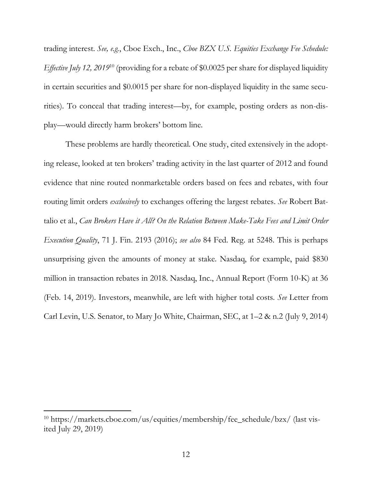trading interest. *See, e.g.*, Cboe Exch., Inc., *Cboe BZX U.S. Equities Exchange Fee Schedule: Effective July 12, 2019*<sup>10</sup> (providing for a rebate of \$0.0025 per share for displayed liquidity in certain securities and \$0.0015 per share for non-displayed liquidity in the same securities). To conceal that trading interest—by, for example, posting orders as non-display—would directly harm brokers' bottom line.

These problems are hardly theoretical. One study, cited extensively in the adopting release, looked at ten brokers' trading activity in the last quarter of 2012 and found evidence that nine routed nonmarketable orders based on fees and rebates, with four routing limit orders *exclusively* to exchanges offering the largest rebates. *See* Robert Battalio et al., *Can Brokers Have it All? On the Relation Between Make-Take Fees and Limit Order Execution Quality*, 71 J. Fin. 2193 (2016); *see also* 84 Fed. Reg. at 5248. This is perhaps unsurprising given the amounts of money at stake. Nasdaq, for example, paid \$830 million in transaction rebates in 2018. Nasdaq, Inc., Annual Report (Form 10-K) at 36 (Feb. 14, 2019). Investors, meanwhile, are left with higher total costs. *See* Letter from Carl Levin, U.S. Senator, to Mary Jo White, Chairman, SEC, at 1–2 & n.2 (July 9, 2014)

<sup>10</sup> https://markets.cboe.com/us/equities/membership/fee\_schedule/bzx/ (last visited July 29, 2019)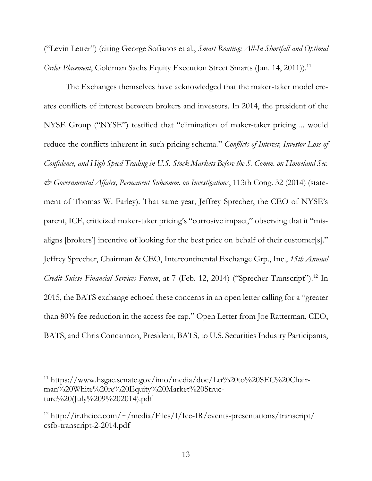("Levin Letter") (citing George Sofianos et al., *Smart Routing: All-In Shortfall and Optimal Order Placement*, Goldman Sachs Equity Execution Street Smarts (Jan. 14, 2011)). 11

The Exchanges themselves have acknowledged that the maker-taker model creates conflicts of interest between brokers and investors. In 2014, the president of the NYSE Group ("NYSE") testified that "elimination of maker-taker pricing ... would reduce the conflicts inherent in such pricing schema." *Conflicts of Interest, Investor Loss of Confidence, and High Speed Trading in U.S. Stock Markets Before the S. Comm. on Homeland Sec. & Governmental Affairs, Permanent Subcomm. on Investigations*, 113th Cong. 32 (2014) (statement of Thomas W. Farley). That same year, Jeffrey Sprecher, the CEO of NYSE's parent, ICE, criticized maker-taker pricing's "corrosive impact," observing that it "misaligns [brokers'] incentive of looking for the best price on behalf of their customer[s]." Jeffrey Sprecher, Chairman & CEO, Intercontinental Exchange Grp., Inc., *15th Annual Credit Suisse Financial Services Forum*, at 7 (Feb. 12, 2014) ("Sprecher Transcript"). <sup>12</sup> In 2015, the BATS exchange echoed these concerns in an open letter calling for a "greater than 80% fee reduction in the access fee cap." Open Letter from Joe Ratterman, CEO, BATS, and Chris Concannon, President, BATS, to U.S. Securities Industry Participants,

 $\overline{a}$ 

<sup>&</sup>lt;sup>11</sup> https://www.hsgac.senate.gov/imo/media/doc/Ltr%20to%20SEC%20Chairman%20White%20re%20Equity%20Market%20Structure%20(July%209%202014).pdf

<sup>&</sup>lt;sup>12</sup> http://ir.theice.com/ $\sim$ /media/Files/I/Ice-IR/events-presentations/transcript/ csfb-transcript-2-2014.pdf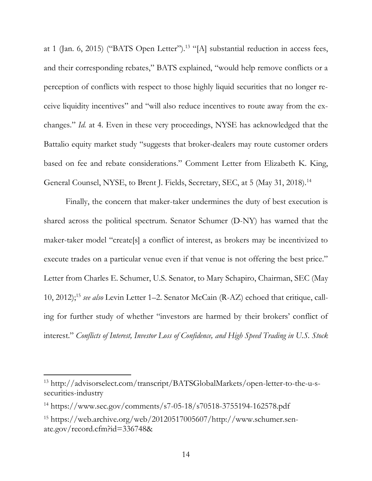at 1 (Jan. 6, 2015) ("BATS Open Letter").<sup>13</sup> "[A] substantial reduction in access fees, and their corresponding rebates," BATS explained, "would help remove conflicts or a perception of conflicts with respect to those highly liquid securities that no longer receive liquidity incentives" and "will also reduce incentives to route away from the exchanges." *Id.* at 4. Even in these very proceedings, NYSE has acknowledged that the Battalio equity market study "suggests that broker-dealers may route customer orders based on fee and rebate considerations." Comment Letter from Elizabeth K. King, General Counsel, NYSE, to Brent J. Fields, Secretary, SEC, at 5 (May 31, 2018).<sup>14</sup>

Finally, the concern that maker-taker undermines the duty of best execution is shared across the political spectrum. Senator Schumer (D-NY) has warned that the maker-taker model "create[s] a conflict of interest, as brokers may be incentivized to execute trades on a particular venue even if that venue is not offering the best price." Letter from Charles E. Schumer, U.S. Senator, to Mary Schapiro, Chairman, SEC (May 10, 2012);<sup>15</sup> *see also* Levin Letter 1–2. Senator McCain (R-AZ) echoed that critique, calling for further study of whether "investors are harmed by their brokers' conflict of interest." *Conflicts of Interest, Investor Loss of Confidence, and High Speed Trading in U.S. Stock* 

 $\overline{a}$ 

<sup>13</sup> http://advisorselect.com/transcript/BATSGlobalMarkets/open-letter-to-the-u-ssecurities-industry

<sup>14</sup> https://www.sec.gov/comments/s7-05-18/s70518-3755194-162578.pdf

<sup>15</sup> https://web.archive.org/web/20120517005607/http://www.schumer.senate.gov/record.cfm?id=336748&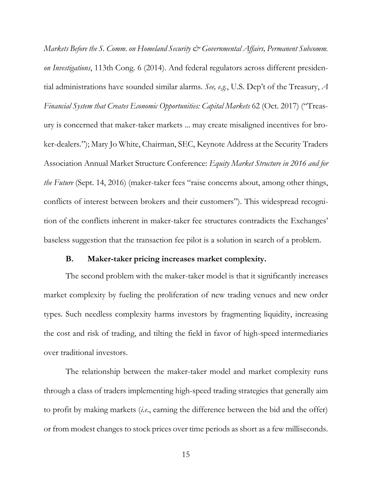*Markets Before the S. Comm. on Homeland Security*  $\mathcal{Q}^*$  *Governmental Affairs, Permanent Subcomm. on Investigations*, 113th Cong. 6 (2014). And federal regulators across different presidential administrations have sounded similar alarms. *See, e.g.*, U.S. Dep't of the Treasury, *A Financial System that Creates Economic Opportunities: Capital Markets* 62 (Oct. 2017) ("Treasury is concerned that maker-taker markets ... may create misaligned incentives for broker-dealers."); Mary Jo White, Chairman, SEC, Keynote Address at the Security Traders Association Annual Market Structure Conference: *Equity Market Structure in 2016 and for the Future* (Sept. 14, 2016) (maker-taker fees "raise concerns about, among other things, conflicts of interest between brokers and their customers"). This widespread recognition of the conflicts inherent in maker-taker fee structures contradicts the Exchanges' baseless suggestion that the transaction fee pilot is a solution in search of a problem.

#### **B. Maker-taker pricing increases market complexity.**

The second problem with the maker-taker model is that it significantly increases market complexity by fueling the proliferation of new trading venues and new order types. Such needless complexity harms investors by fragmenting liquidity, increasing the cost and risk of trading, and tilting the field in favor of high-speed intermediaries over traditional investors.

The relationship between the maker-taker model and market complexity runs through a class of traders implementing high-speed trading strategies that generally aim to profit by making markets (*i.e*., earning the difference between the bid and the offer) or from modest changes to stock prices over time periods as short as a few milliseconds.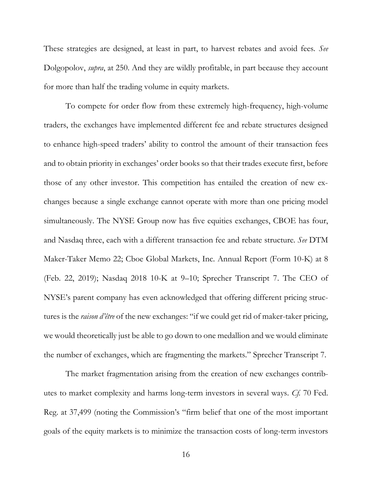These strategies are designed, at least in part, to harvest rebates and avoid fees. *See*  Dolgopolov, *supra*, at 250. And they are wildly profitable, in part because they account for more than half the trading volume in equity markets.

To compete for order flow from these extremely high-frequency, high-volume traders, the exchanges have implemented different fee and rebate structures designed to enhance high-speed traders' ability to control the amount of their transaction fees and to obtain priority in exchanges' order books so that their trades execute first, before those of any other investor. This competition has entailed the creation of new exchanges because a single exchange cannot operate with more than one pricing model simultaneously. The NYSE Group now has five equities exchanges, CBOE has four, and Nasdaq three, each with a different transaction fee and rebate structure. *See* DTM Maker-Taker Memo 22; Cboe Global Markets, Inc. Annual Report (Form 10-K) at 8 (Feb. 22, 2019); Nasdaq 2018 10-K at 9–10; Sprecher Transcript 7. The CEO of NYSE's parent company has even acknowledged that offering different pricing structures is the *raison d'être* of the new exchanges: "if we could get rid of maker-taker pricing, we would theoretically just be able to go down to one medallion and we would eliminate the number of exchanges, which are fragmenting the markets." Sprecher Transcript 7.

The market fragmentation arising from the creation of new exchanges contributes to market complexity and harms long-term investors in several ways. *Cf.* 70 Fed. Reg. at 37,499 (noting the Commission's "firm belief that one of the most important goals of the equity markets is to minimize the transaction costs of long-term investors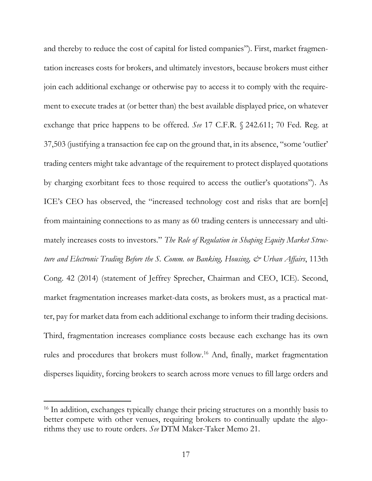and thereby to reduce the cost of capital for listed companies"). First, market fragmentation increases costs for brokers, and ultimately investors, because brokers must either join each additional exchange or otherwise pay to access it to comply with the requirement to execute trades at (or better than) the best available displayed price, on whatever exchange that price happens to be offered. *See* 17 C.F.R. § 242.611; 70 Fed. Reg. at 37,503 (justifying a transaction fee cap on the ground that, in its absence, "some 'outlier' trading centers might take advantage of the requirement to protect displayed quotations by charging exorbitant fees to those required to access the outlier's quotations"). As ICE's CEO has observed, the "increased technology cost and risks that are born[e] from maintaining connections to as many as 60 trading centers is unnecessary and ultimately increases costs to investors." *The Role of Regulation in Shaping Equity Market Structure and Electronic Trading Before the S. Comm. on Banking, Housing, & Urban Affairs*, 113th Cong. 42 (2014) (statement of Jeffrey Sprecher, Chairman and CEO, ICE). Second, market fragmentation increases market-data costs, as brokers must, as a practical matter, pay for market data from each additional exchange to inform their trading decisions. Third, fragmentation increases compliance costs because each exchange has its own rules and procedures that brokers must follow.<sup>16</sup> And, finally, market fragmentation disperses liquidity, forcing brokers to search across more venues to fill large orders and

 $\overline{a}$ 

<sup>&</sup>lt;sup>16</sup> In addition, exchanges typically change their pricing structures on a monthly basis to better compete with other venues, requiring brokers to continually update the algorithms they use to route orders. *See* DTM Maker-Taker Memo 21.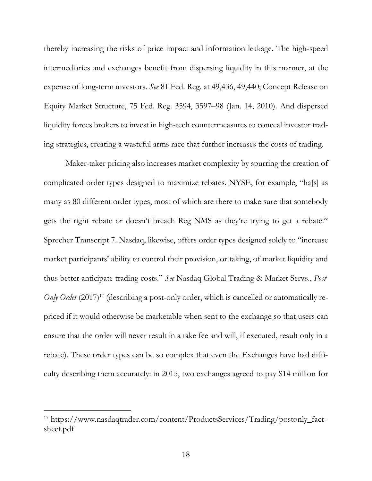thereby increasing the risks of price impact and information leakage. The high-speed intermediaries and exchanges benefit from dispersing liquidity in this manner, at the expense of long-term investors. *See* 81 Fed. Reg. at 49,436, 49,440; Concept Release on Equity Market Structure, 75 Fed. Reg. 3594, 3597–98 (Jan. 14, 2010). And dispersed liquidity forces brokers to invest in high-tech countermeasures to conceal investor trading strategies, creating a wasteful arms race that further increases the costs of trading.

Maker-taker pricing also increases market complexity by spurring the creation of complicated order types designed to maximize rebates. NYSE, for example, "ha[s] as many as 80 different order types, most of which are there to make sure that somebody gets the right rebate or doesn't breach Reg NMS as they're trying to get a rebate." Sprecher Transcript 7. Nasdaq, likewise, offers order types designed solely to "increase market participants' ability to control their provision, or taking, of market liquidity and thus better anticipate trading costs." *See* Nasdaq Global Trading & Market Servs., *Post-*Only Order (2017)<sup>17</sup> (describing a post-only order, which is cancelled or automatically repriced if it would otherwise be marketable when sent to the exchange so that users can ensure that the order will never result in a take fee and will, if executed, result only in a rebate). These order types can be so complex that even the Exchanges have had difficulty describing them accurately: in 2015, two exchanges agreed to pay \$14 million for

<sup>17</sup> https://www.nasdaqtrader.com/content/ProductsServices/Trading/postonly\_factsheet.pdf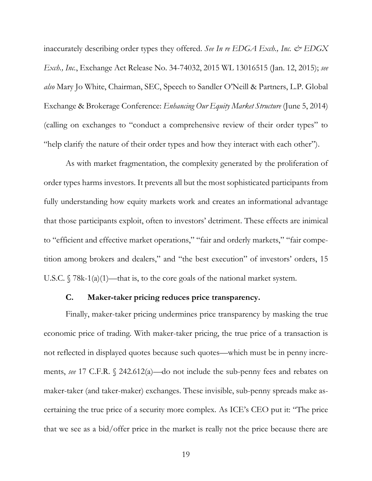inaccurately describing order types they offered. *See In re EDGA Exch., Inc. & EDGX Exch., Inc.*, Exchange Act Release No. 34-74032, 2015 WL 13016515 (Jan. 12, 2015); *see also* Mary Jo White, Chairman, SEC, Speech to Sandler O'Neill & Partners, L.P. Global Exchange & Brokerage Conference: *Enhancing Our Equity Market Structure* (June 5, 2014) (calling on exchanges to "conduct a comprehensive review of their order types" to "help clarify the nature of their order types and how they interact with each other").

As with market fragmentation, the complexity generated by the proliferation of order types harms investors. It prevents all but the most sophisticated participants from fully understanding how equity markets work and creates an informational advantage that those participants exploit, often to investors' detriment. These effects are inimical to "efficient and effective market operations," "fair and orderly markets," "fair competition among brokers and dealers," and "the best execution" of investors' orders, 15 U.S.C.  $\sqrt{78k-1(a)(1)}$ —that is, to the core goals of the national market system.

#### **C. Maker-taker pricing reduces price transparency.**

Finally, maker-taker pricing undermines price transparency by masking the true economic price of trading. With maker-taker pricing, the true price of a transaction is not reflected in displayed quotes because such quotes—which must be in penny increments, *see* 17 C.F.R. § 242.612(a)—do not include the sub-penny fees and rebates on maker-taker (and taker-maker) exchanges. These invisible, sub-penny spreads make ascertaining the true price of a security more complex. As ICE's CEO put it: "The price that we see as a bid/offer price in the market is really not the price because there are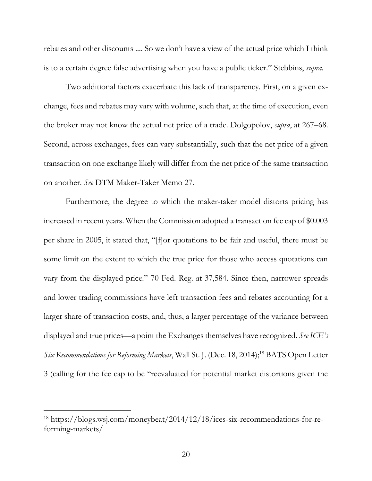rebates and other discounts .... So we don't have a view of the actual price which I think is to a certain degree false advertising when you have a public ticker." Stebbins, *supra*.

Two additional factors exacerbate this lack of transparency. First, on a given exchange, fees and rebates may vary with volume, such that, at the time of execution, even the broker may not know the actual net price of a trade. Dolgopolov, *supra*, at 267–68. Second, across exchanges, fees can vary substantially, such that the net price of a given transaction on one exchange likely will differ from the net price of the same transaction on another. *See* DTM Maker-Taker Memo 27.

Furthermore, the degree to which the maker-taker model distorts pricing has increased in recent years. When the Commission adopted a transaction fee cap of \$0.003 per share in 2005, it stated that, "[f]or quotations to be fair and useful, there must be some limit on the extent to which the true price for those who access quotations can vary from the displayed price." 70 Fed. Reg. at 37,584. Since then, narrower spreads and lower trading commissions have left transaction fees and rebates accounting for a larger share of transaction costs, and, thus, a larger percentage of the variance between displayed and true prices—a point the Exchanges themselves have recognized. *See ICE's Six Recommendations for Reforming Markets*, Wall St. J. (Dec. 18, 2014);<sup>18</sup> BATS Open Letter 3 (calling for the fee cap to be "reevaluated for potential market distortions given the

<sup>18</sup> https://blogs.wsj.com/moneybeat/2014/12/18/ices-six-recommendations-for-reforming-markets/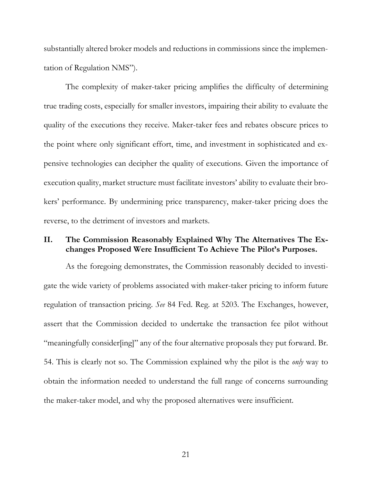substantially altered broker models and reductions in commissions since the implementation of Regulation NMS").

The complexity of maker-taker pricing amplifies the difficulty of determining true trading costs, especially for smaller investors, impairing their ability to evaluate the quality of the executions they receive. Maker-taker fees and rebates obscure prices to the point where only significant effort, time, and investment in sophisticated and expensive technologies can decipher the quality of executions. Given the importance of execution quality, market structure must facilitate investors' ability to evaluate their brokers' performance. By undermining price transparency, maker-taker pricing does the reverse, to the detriment of investors and markets.

#### **II. The Commission Reasonably Explained Why The Alternatives The Exchanges Proposed Were Insufficient To Achieve The Pilot's Purposes.**

As the foregoing demonstrates, the Commission reasonably decided to investigate the wide variety of problems associated with maker-taker pricing to inform future regulation of transaction pricing. *See* 84 Fed. Reg. at 5203. The Exchanges, however, assert that the Commission decided to undertake the transaction fee pilot without "meaningfully consider[ing]" any of the four alternative proposals they put forward. Br. 54. This is clearly not so. The Commission explained why the pilot is the *only* way to obtain the information needed to understand the full range of concerns surrounding the maker-taker model, and why the proposed alternatives were insufficient.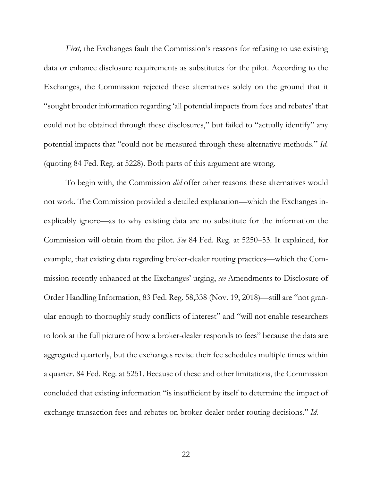*First*, the Exchanges fault the Commission's reasons for refusing to use existing data or enhance disclosure requirements as substitutes for the pilot. According to the Exchanges, the Commission rejected these alternatives solely on the ground that it "sought broader information regarding 'all potential impacts from fees and rebates' that could not be obtained through these disclosures," but failed to "actually identify" any potential impacts that "could not be measured through these alternative methods." *Id.* (quoting 84 Fed. Reg. at 5228). Both parts of this argument are wrong.

To begin with, the Commission *did* offer other reasons these alternatives would not work. The Commission provided a detailed explanation—which the Exchanges inexplicably ignore—as to why existing data are no substitute for the information the Commission will obtain from the pilot. *See* 84 Fed. Reg. at 5250–53. It explained, for example, that existing data regarding broker-dealer routing practices—which the Commission recently enhanced at the Exchanges' urging, *see* Amendments to Disclosure of Order Handling Information, 83 Fed. Reg. 58,338 (Nov. 19, 2018)—still are "not granular enough to thoroughly study conflicts of interest" and "will not enable researchers to look at the full picture of how a broker-dealer responds to fees" because the data are aggregated quarterly, but the exchanges revise their fee schedules multiple times within a quarter. 84 Fed. Reg. at 5251. Because of these and other limitations, the Commission concluded that existing information "is insufficient by itself to determine the impact of exchange transaction fees and rebates on broker-dealer order routing decisions." *Id.*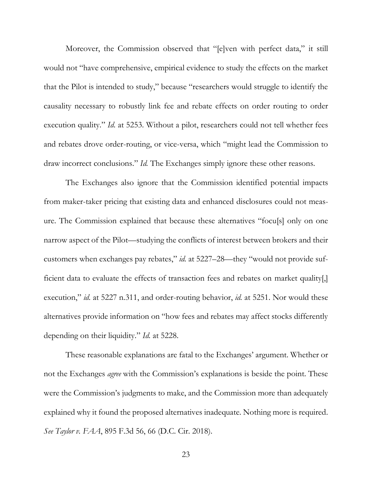Moreover, the Commission observed that "[e]ven with perfect data," it still would not "have comprehensive, empirical evidence to study the effects on the market that the Pilot is intended to study," because "researchers would struggle to identify the causality necessary to robustly link fee and rebate effects on order routing to order execution quality." *Id.* at 5253. Without a pilot, researchers could not tell whether fees and rebates drove order-routing, or vice-versa, which "might lead the Commission to draw incorrect conclusions." *Id.* The Exchanges simply ignore these other reasons.

The Exchanges also ignore that the Commission identified potential impacts from maker-taker pricing that existing data and enhanced disclosures could not measure. The Commission explained that because these alternatives "focu[s] only on one narrow aspect of the Pilot—studying the conflicts of interest between brokers and their customers when exchanges pay rebates," *id.* at 5227–28—they "would not provide sufficient data to evaluate the effects of transaction fees and rebates on market quality[,] execution," *id.* at 5227 n.311, and order-routing behavior, *id.* at 5251. Nor would these alternatives provide information on "how fees and rebates may affect stocks differently depending on their liquidity." *Id.* at 5228.

These reasonable explanations are fatal to the Exchanges' argument. Whether or not the Exchanges *agree* with the Commission's explanations is beside the point. These were the Commission's judgments to make, and the Commission more than adequately explained why it found the proposed alternatives inadequate. Nothing more is required. *See Taylor v. FAA*, 895 F.3d 56, 66 (D.C. Cir. 2018).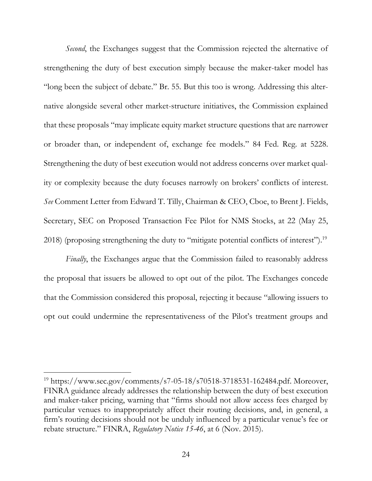*Second*, the Exchanges suggest that the Commission rejected the alternative of strengthening the duty of best execution simply because the maker-taker model has "long been the subject of debate." Br. 55. But this too is wrong. Addressing this alternative alongside several other market-structure initiatives, the Commission explained that these proposals "may implicate equity market structure questions that are narrower or broader than, or independent of, exchange fee models." 84 Fed. Reg. at 5228. Strengthening the duty of best execution would not address concerns over market quality or complexity because the duty focuses narrowly on brokers' conflicts of interest. *See* Comment Letter from Edward T. Tilly, Chairman & CEO, Cboe, to Brent J. Fields, Secretary, SEC on Proposed Transaction Fee Pilot for NMS Stocks, at 22 (May 25, 2018) (proposing strengthening the duty to "mitigate potential conflicts of interest"). 19

*Finally*, the Exchanges argue that the Commission failed to reasonably address the proposal that issuers be allowed to opt out of the pilot. The Exchanges concede that the Commission considered this proposal, rejecting it because "allowing issuers to opt out could undermine the representativeness of the Pilot's treatment groups and

<sup>19</sup> https://www.sec.gov/comments/s7-05-18/s70518-3718531-162484.pdf. Moreover, FINRA guidance already addresses the relationship between the duty of best execution and maker-taker pricing, warning that "firms should not allow access fees charged by particular venues to inappropriately affect their routing decisions, and, in general, a firm's routing decisions should not be unduly influenced by a particular venue's fee or rebate structure." FINRA, *Regulatory Notice 15-46*, at 6 (Nov. 2015).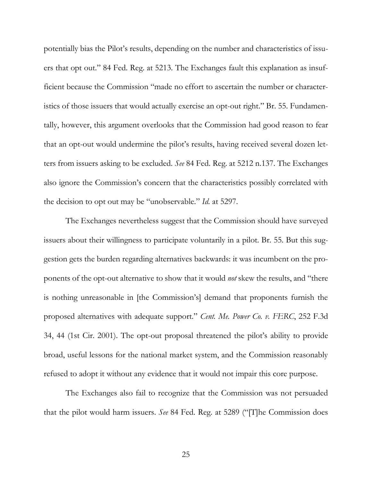potentially bias the Pilot's results, depending on the number and characteristics of issuers that opt out." 84 Fed. Reg. at 5213. The Exchanges fault this explanation as insufficient because the Commission "made no effort to ascertain the number or characteristics of those issuers that would actually exercise an opt-out right." Br. 55. Fundamentally, however, this argument overlooks that the Commission had good reason to fear that an opt-out would undermine the pilot's results, having received several dozen letters from issuers asking to be excluded. *See* 84 Fed. Reg. at 5212 n.137. The Exchanges also ignore the Commission's concern that the characteristics possibly correlated with the decision to opt out may be "unobservable." *Id.* at 5297.

The Exchanges nevertheless suggest that the Commission should have surveyed issuers about their willingness to participate voluntarily in a pilot. Br. 55. But this suggestion gets the burden regarding alternatives backwards: it was incumbent on the proponents of the opt-out alternative to show that it would *not* skew the results, and "there is nothing unreasonable in [the Commission's] demand that proponents furnish the proposed alternatives with adequate support." *Cent. Me. Power Co. v. FERC*, 252 F.3d 34, 44 (1st Cir. 2001). The opt-out proposal threatened the pilot's ability to provide broad, useful lessons for the national market system, and the Commission reasonably refused to adopt it without any evidence that it would not impair this core purpose.

The Exchanges also fail to recognize that the Commission was not persuaded that the pilot would harm issuers. *See* 84 Fed. Reg. at 5289 ("[T]he Commission does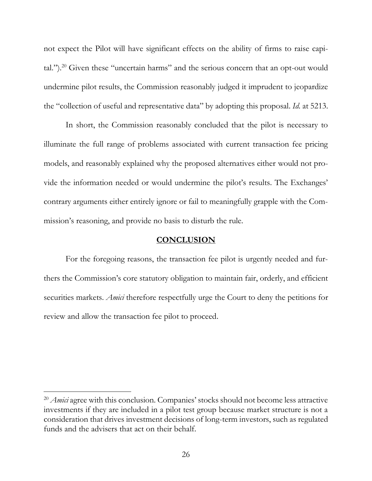not expect the Pilot will have significant effects on the ability of firms to raise capital.").<sup>20</sup> Given these "uncertain harms" and the serious concern that an opt-out would undermine pilot results, the Commission reasonably judged it imprudent to jeopardize the "collection of useful and representative data" by adopting this proposal. *Id.* at 5213.

In short, the Commission reasonably concluded that the pilot is necessary to illuminate the full range of problems associated with current transaction fee pricing models, and reasonably explained why the proposed alternatives either would not provide the information needed or would undermine the pilot's results. The Exchanges' contrary arguments either entirely ignore or fail to meaningfully grapple with the Commission's reasoning, and provide no basis to disturb the rule.

#### **CONCLUSION**

For the foregoing reasons, the transaction fee pilot is urgently needed and furthers the Commission's core statutory obligation to maintain fair, orderly, and efficient securities markets. *Amici* therefore respectfully urge the Court to deny the petitions for review and allow the transaction fee pilot to proceed.

 $\overline{a}$ 

<sup>&</sup>lt;sup>20</sup> *Amici* agree with this conclusion. Companies' stocks should not become less attractive investments if they are included in a pilot test group because market structure is not a consideration that drives investment decisions of long-term investors, such as regulated funds and the advisers that act on their behalf.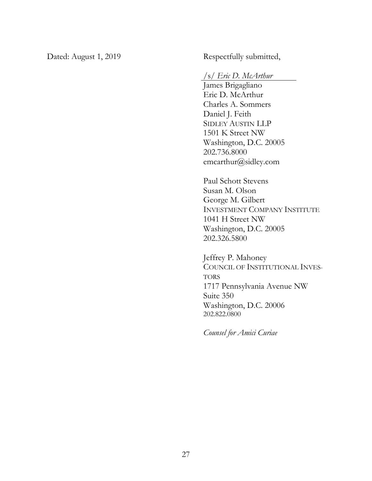Dated: August 1, 2019 Respectfully submitted,

### /s/ *Eric D. McArthur*

James Brigagliano Eric D. McArthur Charles A. Sommers Daniel J. Feith SIDLEY AUSTIN LLP 1501 K Street NW Washington, D.C. 20005 202.736.8000 emcarthur@sidley.com

Paul Schott Stevens Susan M. Olson George M. Gilbert INVESTMENT COMPANY INSTITUTE 1041 H Street NW Washington, D.C. 20005 202.326.5800

Jeffrey P. Mahoney COUNCIL OF INSTITUTIONAL INVES-TORS 1717 Pennsylvania Avenue NW Suite 350 Washington, D.C. 20006 202.822.0800

*Counsel for Amici Curiae*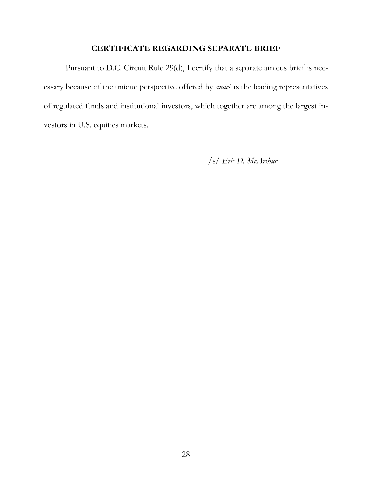### **CERTIFICATE REGARDING SEPARATE BRIEF**

Pursuant to D.C. Circuit Rule 29(d), I certify that a separate amicus brief is necessary because of the unique perspective offered by *amici* as the leading representatives of regulated funds and institutional investors, which together are among the largest investors in U.S. equities markets.

/s/ *Eric D. McArthur*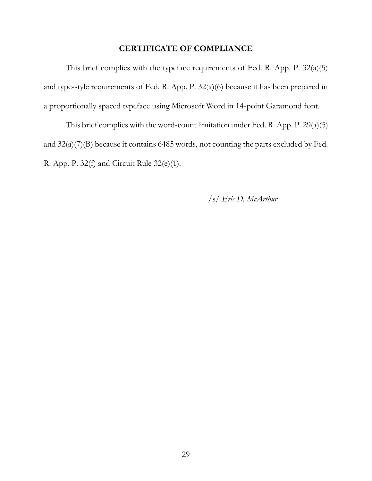#### **CERTIFICATE OF COMPLIANCE**

This brief complies with the typeface requirements of Fed. R. App. P. 32(a)(5) and type-style requirements of Fed. R. App. P. 32(a)(6) because it has been prepared in a proportionally spaced typeface using Microsoft Word in 14-point Garamond font.

This brief complies with the word-count limitation under Fed. R. App. P. 29(a)(5) and 32(a)(7)(B) because it contains 6485 words, not counting the parts excluded by Fed. R. App. P. 32(f) and Circuit Rule 32(e)(1).

/s/ *Eric D. McArthur*